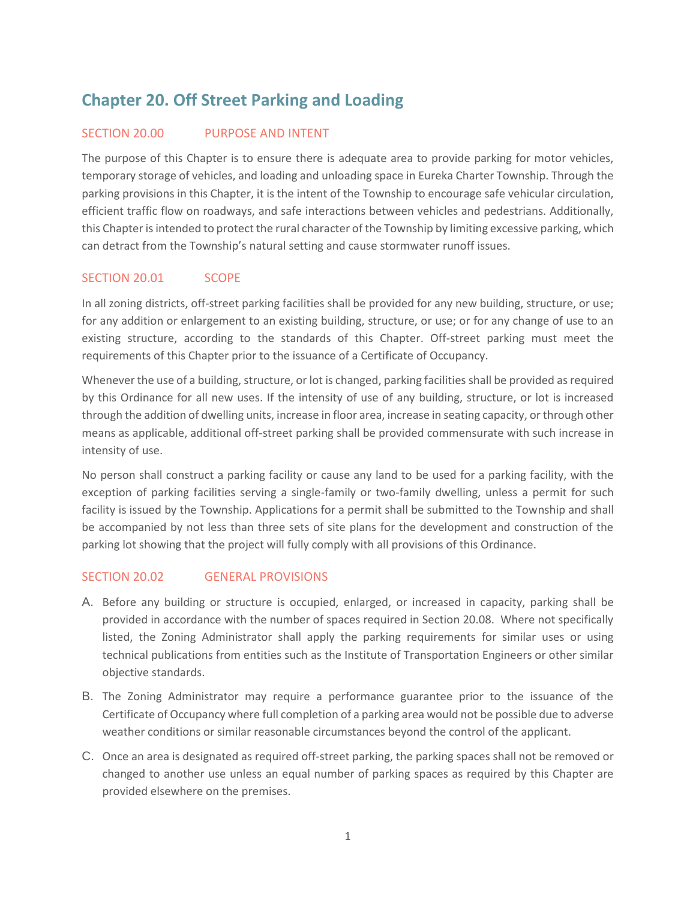# **Chapter 20. Off Street Parking and Loading**

## SECTION 20.00 PURPOSE AND INTENT

The purpose of this Chapter is to ensure there is adequate area to provide parking for motor vehicles, temporary storage of vehicles, and loading and unloading space in Eureka Charter Township. Through the parking provisions in this Chapter, it is the intent of the Township to encourage safe vehicular circulation, efficient traffic flow on roadways, and safe interactions between vehicles and pedestrians. Additionally, this Chapter is intended to protect the rural character of the Township by limiting excessive parking, which can detract from the Township's natural setting and cause stormwater runoff issues.

## SECTION 20.01 SCOPE

In all zoning districts, off-street parking facilities shall be provided for any new building, structure, or use; for any addition or enlargement to an existing building, structure, or use; or for any change of use to an existing structure, according to the standards of this Chapter. Off-street parking must meet the requirements of this Chapter prior to the issuance of a Certificate of Occupancy.

Whenever the use of a building, structure, or lot is changed, parking facilities shall be provided as required by this Ordinance for all new uses. If the intensity of use of any building, structure, or lot is increased through the addition of dwelling units, increase in floor area, increase in seating capacity, or through other means as applicable, additional off-street parking shall be provided commensurate with such increase in intensity of use.

No person shall construct a parking facility or cause any land to be used for a parking facility, with the exception of parking facilities serving a single-family or two-family dwelling, unless a permit for such facility is issued by the Township. Applications for a permit shall be submitted to the Township and shall be accompanied by not less than three sets of site plans for the development and construction of the parking lot showing that the project will fully comply with all provisions of this Ordinance.

## SECTION 20.02 GENERAL PROVISIONS

- A. Before any building or structure is occupied, enlarged, or increased in capacity, parking shall be provided in accordance with the number of spaces required in Section 20.08. Where not specifically listed, the Zoning Administrator shall apply the parking requirements for similar uses or using technical publications from entities such as the Institute of Transportation Engineers or other similar objective standards.
- B. The Zoning Administrator may require a performance guarantee prior to the issuance of the Certificate of Occupancy where full completion of a parking area would not be possible due to adverse weather conditions or similar reasonable circumstances beyond the control of the applicant.
- C. Once an area is designated as required off-street parking, the parking spaces shall not be removed or changed to another use unless an equal number of parking spaces as required by this Chapter are provided elsewhere on the premises.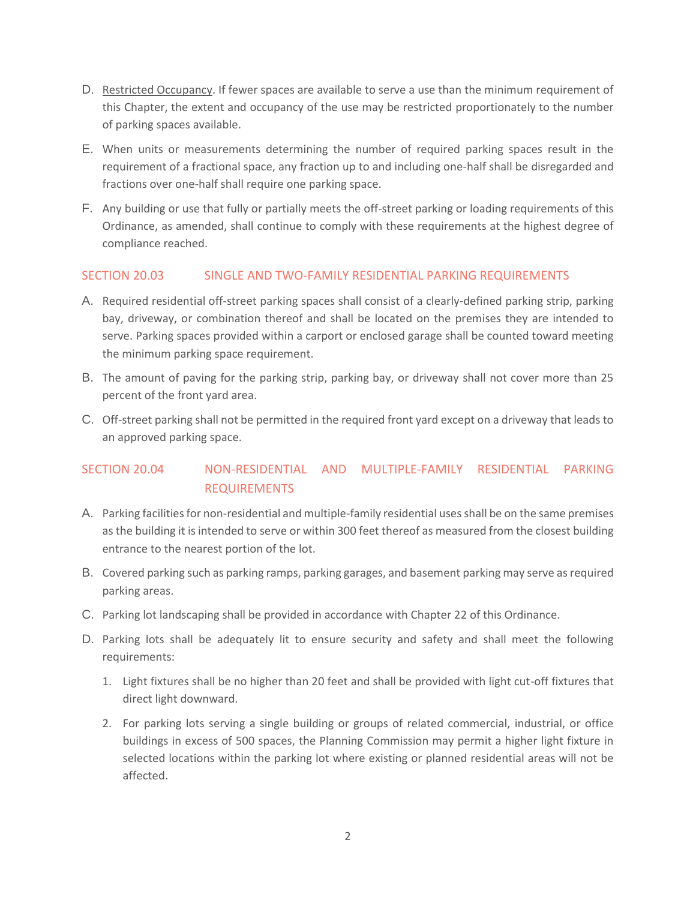- D. Restricted Occupancy. If fewer spaces are available to serve a use than the minimum requirement of this Chapter, the extent and occupancy of the use may be restricted proportionately to the number of parking spaces available.
- E. When units or measurements determining the number of required parking spaces result in the requirement of a fractional space, any fraction up to and including one-half shall be disregarded and fractions over one-half shall require one parking space.
- F. Any building or use that fully or partially meets the off-street parking or loading requirements of this Ordinance, as amended, shall continue to comply with these requirements at the highest degree of compliance reached.

## SECTION 20.03 SINGLE AND TWO-FAMILY RESIDENTIAL PARKING REQUIREMENTS

- A. Required residential off-street parking spaces shall consist of a clearly-defined parking strip, parking bay, driveway, or combination thereof and shall be located on the premises they are intended to serve. Parking spaces provided within a carport or enclosed garage shall be counted toward meeting the minimum parking space requirement.
- B. The amount of paving for the parking strip, parking bay, or driveway shall not cover more than 25 percent of the front yard area.
- C. Off-street parking shall not be permitted in the required front yard except on a driveway that leads to an approved parking space.

## SECTION 20.04 NON-RESIDENTIAL AND MULTIPLE-FAMILY RESIDENTIAL PARKING REQUIREMENTS

- A. Parking facilities for non-residential and multiple-family residential uses shall be on the same premises as the building it is intended to serve or within 300 feet thereof as measured from the closest building entrance to the nearest portion of the lot.
- B. Covered parking such as parking ramps, parking garages, and basement parking may serve as required parking areas.
- C. Parking lot landscaping shall be provided in accordance with Chapter 22 of this Ordinance.
- D. Parking lots shall be adequately lit to ensure security and safety and shall meet the following requirements:
	- 1. Light fixtures shall be no higher than 20 feet and shall be provided with light cut-off fixtures that direct light downward.
	- 2. For parking lots serving a single building or groups of related commercial, industrial, or office buildings in excess of 500 spaces, the Planning Commission may permit a higher light fixture in selected locations within the parking lot where existing or planned residential areas will not be affected.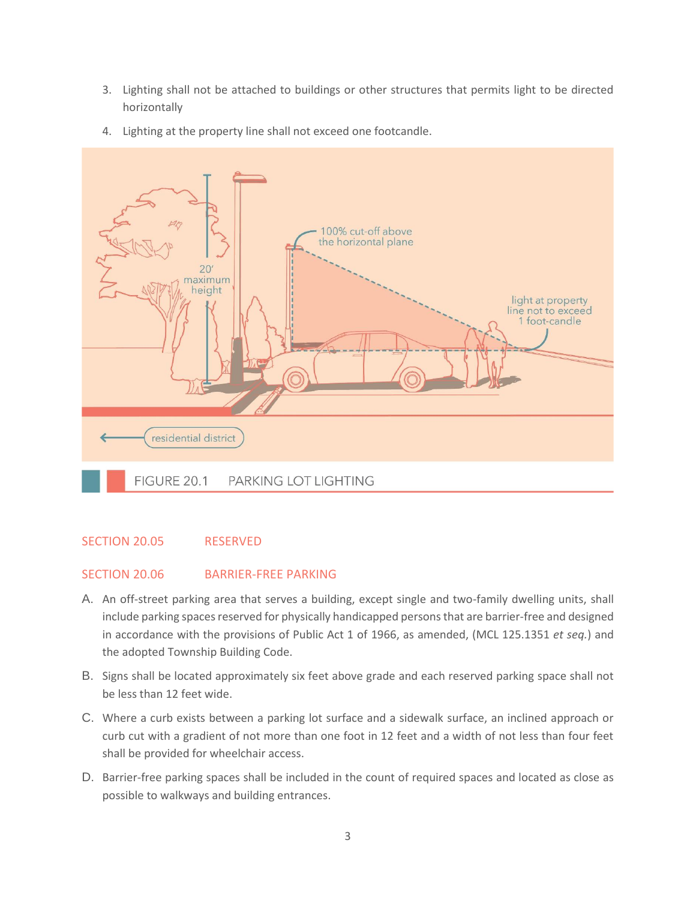3. Lighting shall not be attached to buildings or other structures that permits light to be directed horizontally





## SECTION 20.05 RESERVED

#### SECTION 20.06 BARRIER-FREE PARKING

- A. An off-street parking area that serves a building, except single and two-family dwelling units, shall include parking spaces reserved for physically handicapped persons that are barrier-free and designed in accordance with the provisions of Public Act 1 of 1966, as amended, (MCL 125.1351 *et seq.*) and the adopted Township Building Code.
- B. Signs shall be located approximately six feet above grade and each reserved parking space shall not be less than 12 feet wide.
- C. Where a curb exists between a parking lot surface and a sidewalk surface, an inclined approach or curb cut with a gradient of not more than one foot in 12 feet and a width of not less than four feet shall be provided for wheelchair access.
- D. Barrier-free parking spaces shall be included in the count of required spaces and located as close as possible to walkways and building entrances.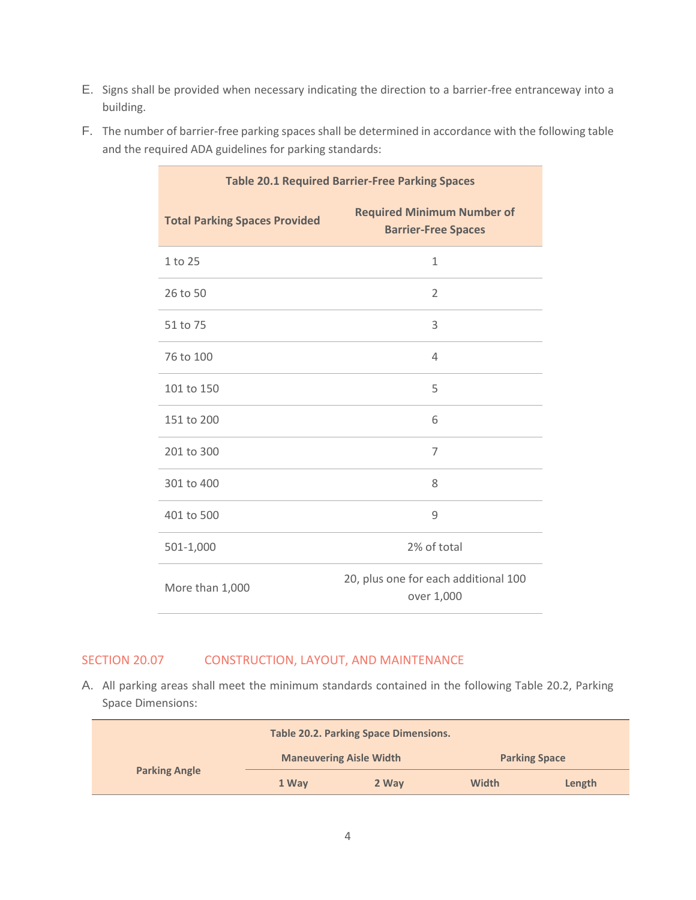E. Signs shall be provided when necessary indicating the direction to a barrier-free entranceway into a building.

| F. The number of barrier-free parking spaces shall be determined in accordance with the following table |
|---------------------------------------------------------------------------------------------------------|
| and the required ADA guidelines for parking standards:                                                  |

| <b>Table 20.1 Required Barrier-Free Parking Spaces</b> |                                                                 |
|--------------------------------------------------------|-----------------------------------------------------------------|
| <b>Total Parking Spaces Provided</b>                   | <b>Required Minimum Number of</b><br><b>Barrier-Free Spaces</b> |
| 1 to 25                                                | $\mathbf{1}$                                                    |
| 26 to 50                                               | $\overline{2}$                                                  |
| 51 to 75                                               | 3                                                               |
| 76 to 100                                              | $\overline{4}$                                                  |
| 101 to 150                                             | 5                                                               |
| 151 to 200                                             | 6                                                               |
| 201 to 300                                             | $\overline{7}$                                                  |
| 301 to 400                                             | 8                                                               |
| 401 to 500                                             | 9                                                               |
| 501-1,000                                              | 2% of total                                                     |
| More than 1,000                                        | 20, plus one for each additional 100<br>over 1,000              |

## SECTION 20.07 CONSTRUCTION, LAYOUT, AND MAINTENANCE

A. All parking areas shall meet the minimum standards contained in the following Table 20.2, Parking Space Dimensions:

| <b>Table 20.2. Parking Space Dimensions.</b> |                                |       |                      |        |
|----------------------------------------------|--------------------------------|-------|----------------------|--------|
|                                              | <b>Maneuvering Aisle Width</b> |       | <b>Parking Space</b> |        |
| <b>Parking Angle</b>                         | 1 Way                          | 2 Way | <b>Width</b>         | Length |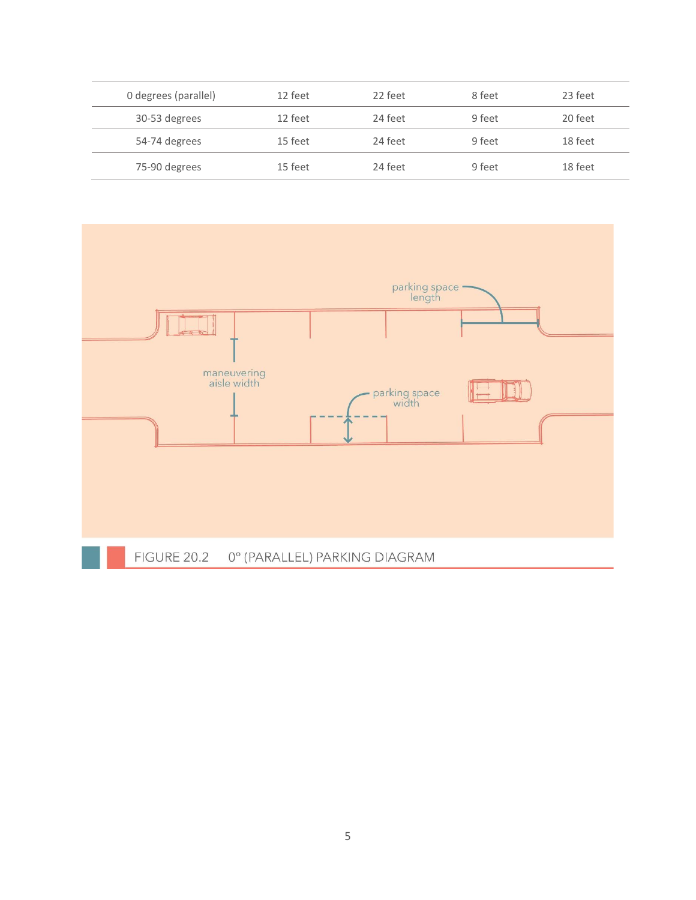| 0 degrees (parallel) | 12 feet | 22 feet | 8 feet | 23 feet |
|----------------------|---------|---------|--------|---------|
| 30-53 degrees        | 12 feet | 24 feet | 9 feet | 20 feet |
| 54-74 degrees        | 15 feet | 24 feet | 9 feet | 18 feet |
| 75-90 degrees        | 15 feet | 24 feet | 9 feet | 18 feet |

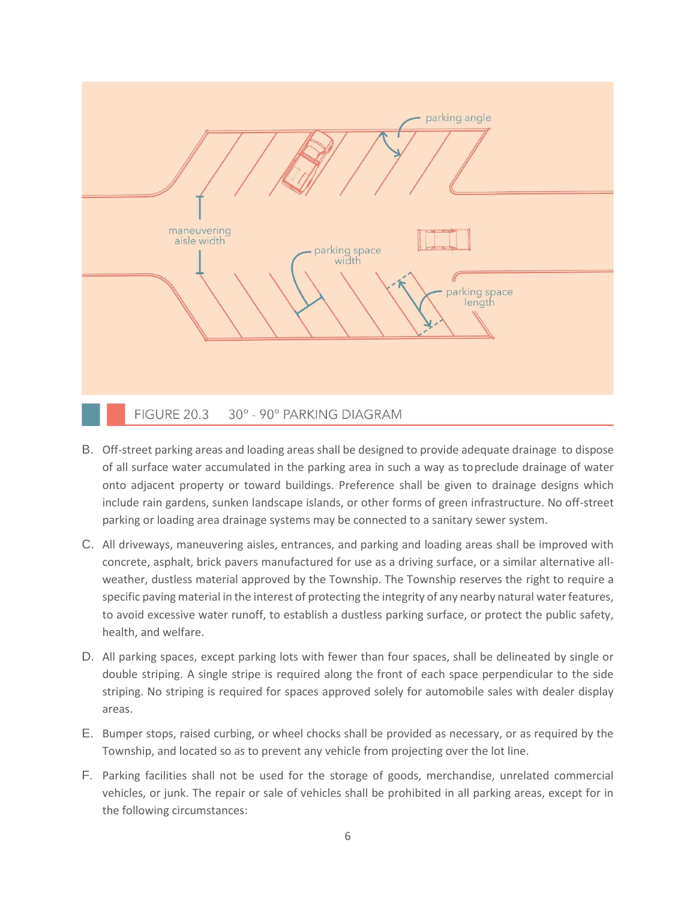

- B. Off-street parking areas and loading areas shall be designed to provide adequate drainage to dispose of all surface water accumulated in the parking area in such a way as topreclude drainage of water onto adjacent property or toward buildings. Preference shall be given to drainage designs which include rain gardens, sunken landscape islands, or other forms of green infrastructure. No off-street parking or loading area drainage systems may be connected to a sanitary sewer system.
- C. All driveways, maneuvering aisles, entrances, and parking and loading areas shall be improved with concrete, asphalt, brick pavers manufactured for use as a driving surface, or a similar alternative allweather, dustless material approved by the Township. The Township reserves the right to require a specific paving material in the interest of protecting the integrity of any nearby natural water features, to avoid excessive water runoff, to establish a dustless parking surface, or protect the public safety, health, and welfare.
- D. All parking spaces, except parking lots with fewer than four spaces, shall be delineated by single or double striping. A single stripe is required along the front of each space perpendicular to the side striping. No striping is required for spaces approved solely for automobile sales with dealer display areas.
- E. Bumper stops, raised curbing, or wheel chocks shall be provided as necessary, or as required by the Township, and located so as to prevent any vehicle from projecting over the lot line.
- F. Parking facilities shall not be used for the storage of goods, merchandise, unrelated commercial vehicles, or junk. The repair or sale of vehicles shall be prohibited in all parking areas, except for in the following circumstances: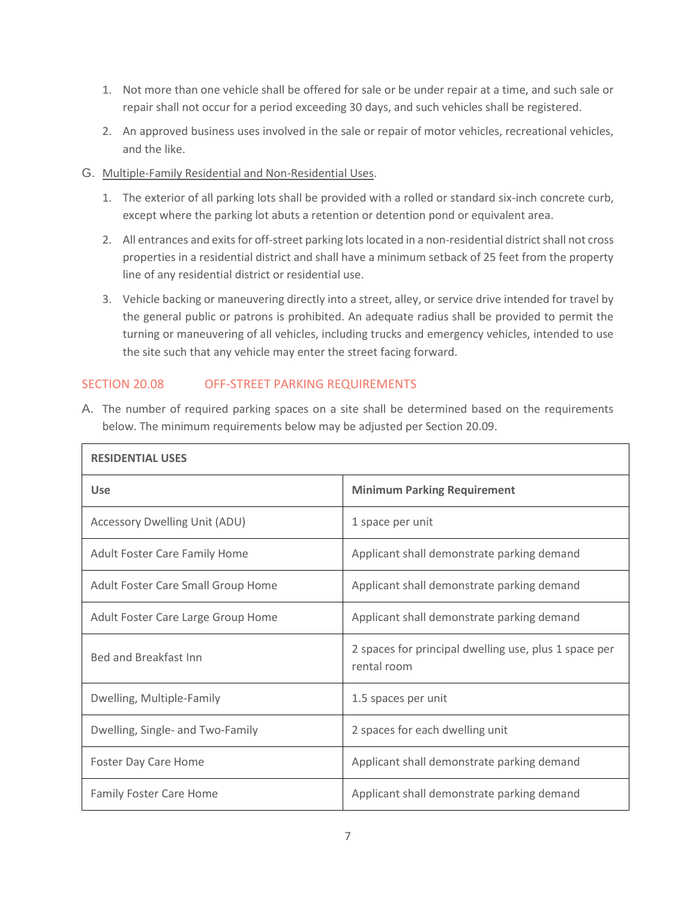- 1. Not more than one vehicle shall be offered for sale or be under repair at a time, and such sale or repair shall not occur for a period exceeding 30 days, and such vehicles shall be registered.
- 2. An approved business uses involved in the sale or repair of motor vehicles, recreational vehicles, and the like.
- G. Multiple-Family Residential and Non-Residential Uses.
	- 1. The exterior of all parking lots shall be provided with a rolled or standard six-inch concrete curb, except where the parking lot abuts a retention or detention pond or equivalent area.
	- 2. All entrances and exits for off-street parking lots located in a non-residential district shall not cross properties in a residential district and shall have a minimum setback of 25 feet from the property line of any residential district or residential use.
	- 3. Vehicle backing or maneuvering directly into a street, alley, or service drive intended for travel by the general public or patrons is prohibited. An adequate radius shall be provided to permit the turning or maneuvering of all vehicles, including trucks and emergency vehicles, intended to use the site such that any vehicle may enter the street facing forward.

## SECTION 20.08 OFF-STREET PARKING REQUIREMENTS

| A. The number of required parking spaces on a site shall be determined based on the requirements |
|--------------------------------------------------------------------------------------------------|
| below. The minimum requirements below may be adjusted per Section 20.09.                         |

| <b>RESIDENTIAL USES</b>              |                                                                      |  |
|--------------------------------------|----------------------------------------------------------------------|--|
| <b>Use</b>                           | <b>Minimum Parking Requirement</b>                                   |  |
| <b>Accessory Dwelling Unit (ADU)</b> | 1 space per unit                                                     |  |
| <b>Adult Foster Care Family Home</b> | Applicant shall demonstrate parking demand                           |  |
| Adult Foster Care Small Group Home   | Applicant shall demonstrate parking demand                           |  |
| Adult Foster Care Large Group Home   | Applicant shall demonstrate parking demand                           |  |
| <b>Bed and Breakfast Inn</b>         | 2 spaces for principal dwelling use, plus 1 space per<br>rental room |  |
| Dwelling, Multiple-Family            | 1.5 spaces per unit                                                  |  |
| Dwelling, Single- and Two-Family     | 2 spaces for each dwelling unit                                      |  |
| <b>Foster Day Care Home</b>          | Applicant shall demonstrate parking demand                           |  |
| <b>Family Foster Care Home</b>       | Applicant shall demonstrate parking demand                           |  |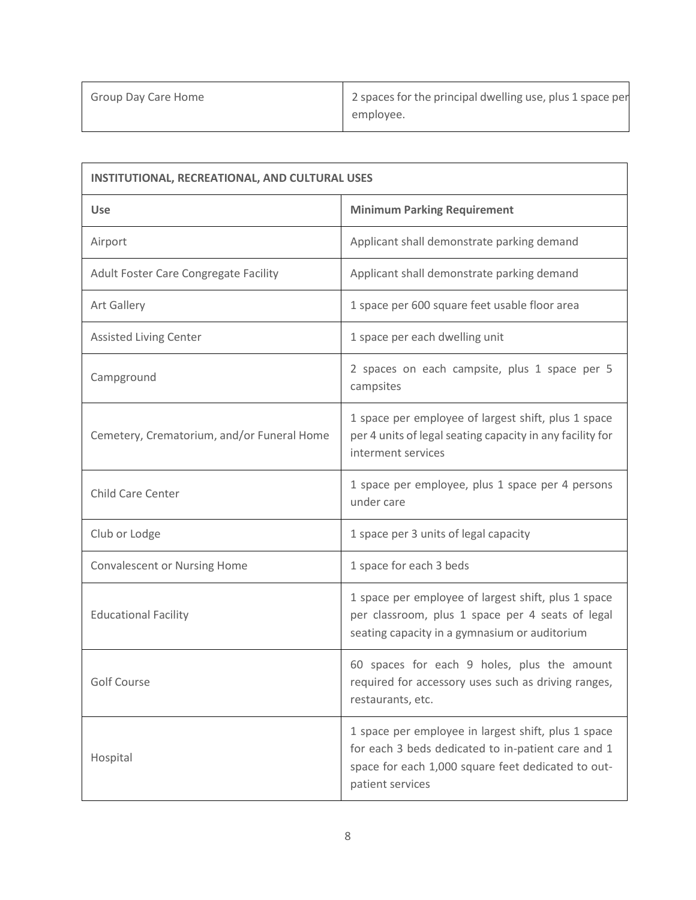| <b>INSTITUTIONAL, RECREATIONAL, AND CULTURAL USES</b> |                                                                                                                                                                                     |  |
|-------------------------------------------------------|-------------------------------------------------------------------------------------------------------------------------------------------------------------------------------------|--|
| <b>Use</b>                                            | <b>Minimum Parking Requirement</b>                                                                                                                                                  |  |
| Airport                                               | Applicant shall demonstrate parking demand                                                                                                                                          |  |
| Adult Foster Care Congregate Facility                 | Applicant shall demonstrate parking demand                                                                                                                                          |  |
| Art Gallery                                           | 1 space per 600 square feet usable floor area                                                                                                                                       |  |
| <b>Assisted Living Center</b>                         | 1 space per each dwelling unit                                                                                                                                                      |  |
| Campground                                            | 2 spaces on each campsite, plus 1 space per 5<br>campsites                                                                                                                          |  |
| Cemetery, Crematorium, and/or Funeral Home            | 1 space per employee of largest shift, plus 1 space<br>per 4 units of legal seating capacity in any facility for<br>interment services                                              |  |
| Child Care Center                                     | 1 space per employee, plus 1 space per 4 persons<br>under care                                                                                                                      |  |
| Club or Lodge                                         | 1 space per 3 units of legal capacity                                                                                                                                               |  |
| <b>Convalescent or Nursing Home</b>                   | 1 space for each 3 beds                                                                                                                                                             |  |
| <b>Educational Facility</b>                           | 1 space per employee of largest shift, plus 1 space<br>per classroom, plus 1 space per 4 seats of legal<br>seating capacity in a gymnasium or auditorium                            |  |
| <b>Golf Course</b>                                    | 60 spaces for each 9 holes, plus the amount<br>required for accessory uses such as driving ranges,<br>restaurants, etc.                                                             |  |
| Hospital                                              | 1 space per employee in largest shift, plus 1 space<br>for each 3 beds dedicated to in-patient care and 1<br>space for each 1,000 square feet dedicated to out-<br>patient services |  |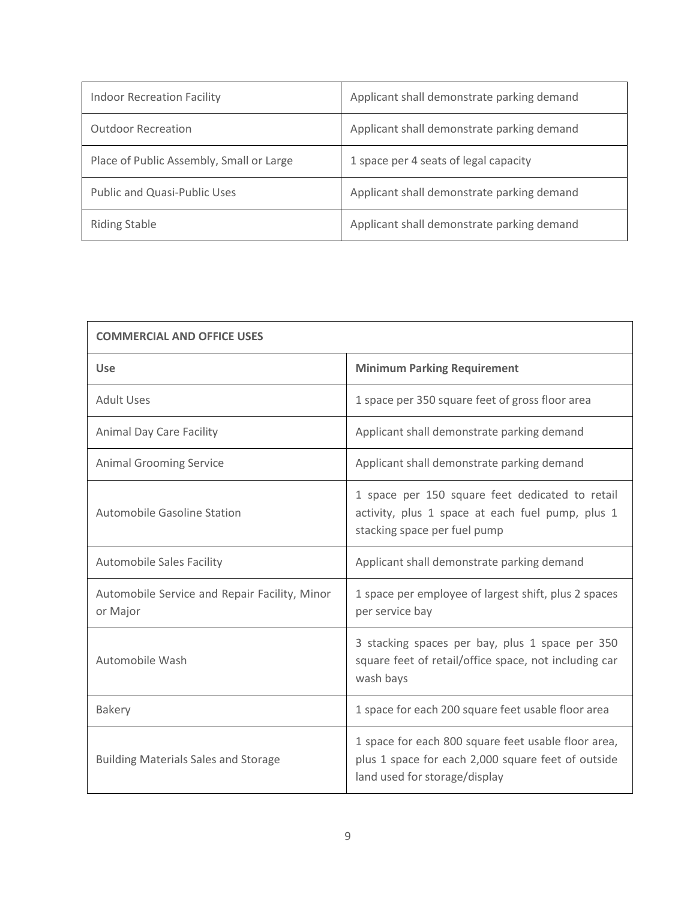| <b>Indoor Recreation Facility</b>        | Applicant shall demonstrate parking demand |
|------------------------------------------|--------------------------------------------|
| <b>Outdoor Recreation</b>                | Applicant shall demonstrate parking demand |
| Place of Public Assembly, Small or Large | 1 space per 4 seats of legal capacity      |
| Public and Quasi-Public Uses             | Applicant shall demonstrate parking demand |
| <b>Riding Stable</b>                     | Applicant shall demonstrate parking demand |

| <b>COMMERCIAL AND OFFICE USES</b>                         |                                                                                                                                            |  |
|-----------------------------------------------------------|--------------------------------------------------------------------------------------------------------------------------------------------|--|
| <b>Use</b>                                                | <b>Minimum Parking Requirement</b>                                                                                                         |  |
| <b>Adult Uses</b>                                         | 1 space per 350 square feet of gross floor area                                                                                            |  |
| <b>Animal Day Care Facility</b>                           | Applicant shall demonstrate parking demand                                                                                                 |  |
| <b>Animal Grooming Service</b>                            | Applicant shall demonstrate parking demand                                                                                                 |  |
| Automobile Gasoline Station                               | 1 space per 150 square feet dedicated to retail<br>activity, plus 1 space at each fuel pump, plus 1<br>stacking space per fuel pump        |  |
| <b>Automobile Sales Facility</b>                          | Applicant shall demonstrate parking demand                                                                                                 |  |
| Automobile Service and Repair Facility, Minor<br>or Major | 1 space per employee of largest shift, plus 2 spaces<br>per service bay                                                                    |  |
| Automobile Wash                                           | 3 stacking spaces per bay, plus 1 space per 350<br>square feet of retail/office space, not including car<br>wash bays                      |  |
| <b>Bakery</b>                                             | 1 space for each 200 square feet usable floor area                                                                                         |  |
| <b>Building Materials Sales and Storage</b>               | 1 space for each 800 square feet usable floor area,<br>plus 1 space for each 2,000 square feet of outside<br>land used for storage/display |  |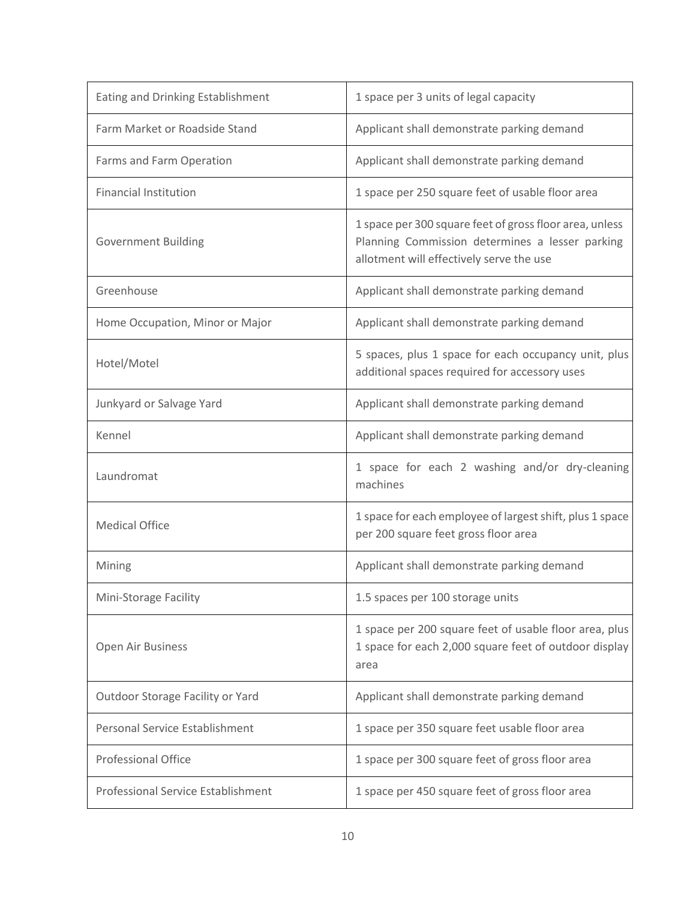| Eating and Drinking Establishment         | 1 space per 3 units of legal capacity                                                                                                                  |
|-------------------------------------------|--------------------------------------------------------------------------------------------------------------------------------------------------------|
| Farm Market or Roadside Stand             | Applicant shall demonstrate parking demand                                                                                                             |
| Farms and Farm Operation                  | Applicant shall demonstrate parking demand                                                                                                             |
| <b>Financial Institution</b>              | 1 space per 250 square feet of usable floor area                                                                                                       |
| <b>Government Building</b>                | 1 space per 300 square feet of gross floor area, unless<br>Planning Commission determines a lesser parking<br>allotment will effectively serve the use |
| Greenhouse                                | Applicant shall demonstrate parking demand                                                                                                             |
| Home Occupation, Minor or Major           | Applicant shall demonstrate parking demand                                                                                                             |
| Hotel/Motel                               | 5 spaces, plus 1 space for each occupancy unit, plus<br>additional spaces required for accessory uses                                                  |
| Junkyard or Salvage Yard                  | Applicant shall demonstrate parking demand                                                                                                             |
| Kennel                                    | Applicant shall demonstrate parking demand                                                                                                             |
| Laundromat                                | 1 space for each 2 washing and/or dry-cleaning<br>machines                                                                                             |
| <b>Medical Office</b>                     | 1 space for each employee of largest shift, plus 1 space<br>per 200 square feet gross floor area                                                       |
| Mining                                    | Applicant shall demonstrate parking demand                                                                                                             |
| Mini-Storage Facility                     | 1.5 spaces per 100 storage units                                                                                                                       |
| Open Air Business                         | 1 space per 200 square feet of usable floor area, plus<br>1 space for each 2,000 square feet of outdoor display<br>area                                |
| Outdoor Storage Facility or Yard          | Applicant shall demonstrate parking demand                                                                                                             |
| Personal Service Establishment            | 1 space per 350 square feet usable floor area                                                                                                          |
| <b>Professional Office</b>                | 1 space per 300 square feet of gross floor area                                                                                                        |
| <b>Professional Service Establishment</b> | 1 space per 450 square feet of gross floor area                                                                                                        |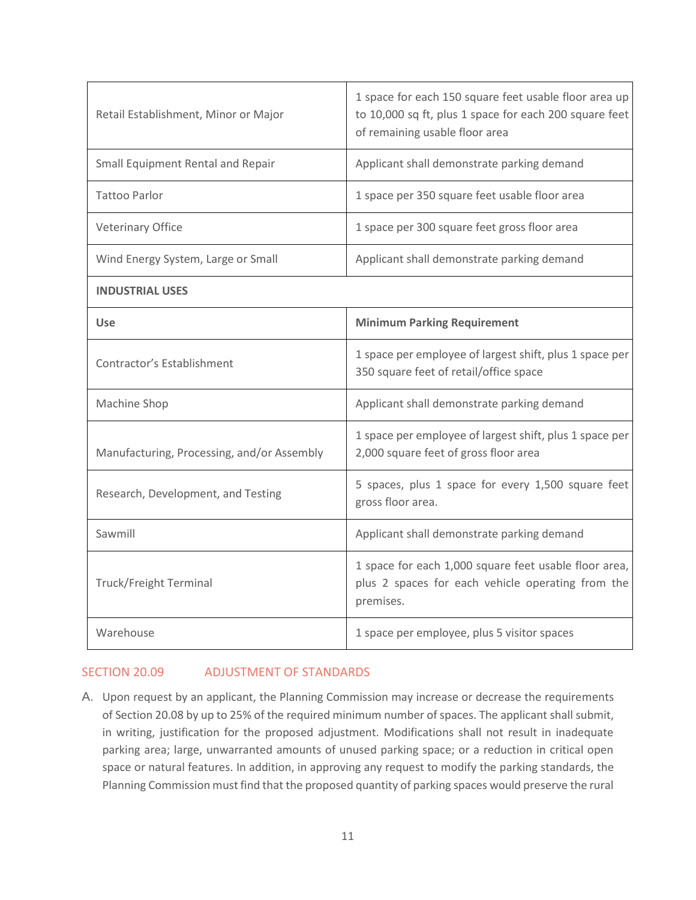| Retail Establishment, Minor or Major       | 1 space for each 150 square feet usable floor area up<br>to 10,000 sq ft, plus 1 space for each 200 square feet<br>of remaining usable floor area |
|--------------------------------------------|---------------------------------------------------------------------------------------------------------------------------------------------------|
| Small Equipment Rental and Repair          | Applicant shall demonstrate parking demand                                                                                                        |
| <b>Tattoo Parlor</b>                       | 1 space per 350 square feet usable floor area                                                                                                     |
| <b>Veterinary Office</b>                   | 1 space per 300 square feet gross floor area                                                                                                      |
| Wind Energy System, Large or Small         | Applicant shall demonstrate parking demand                                                                                                        |
| <b>INDUSTRIAL USES</b>                     |                                                                                                                                                   |
| <b>Use</b>                                 | <b>Minimum Parking Requirement</b>                                                                                                                |
| Contractor's Establishment                 | 1 space per employee of largest shift, plus 1 space per<br>350 square feet of retail/office space                                                 |
| Machine Shop                               | Applicant shall demonstrate parking demand                                                                                                        |
| Manufacturing, Processing, and/or Assembly | 1 space per employee of largest shift, plus 1 space per<br>2,000 square feet of gross floor area                                                  |
| Research, Development, and Testing         | 5 spaces, plus 1 space for every 1,500 square feet<br>gross floor area.                                                                           |
| Sawmill                                    | Applicant shall demonstrate parking demand                                                                                                        |
| <b>Truck/Freight Terminal</b>              | 1 space for each 1,000 square feet usable floor area,<br>plus 2 spaces for each vehicle operating from the<br>premises.                           |
| Warehouse                                  | 1 space per employee, plus 5 visitor spaces                                                                                                       |

## SECTION 20.09 ADJUSTMENT OF STANDARDS

A. Upon request by an applicant, the Planning Commission may increase or decrease the requirements of Section 20.08 by up to 25% of the required minimum number of spaces. The applicant shall submit, in writing, justification for the proposed adjustment. Modifications shall not result in inadequate parking area; large, unwarranted amounts of unused parking space; or a reduction in critical open space or natural features. In addition, in approving any request to modify the parking standards, the Planning Commission must find that the proposed quantity of parking spaces would preserve the rural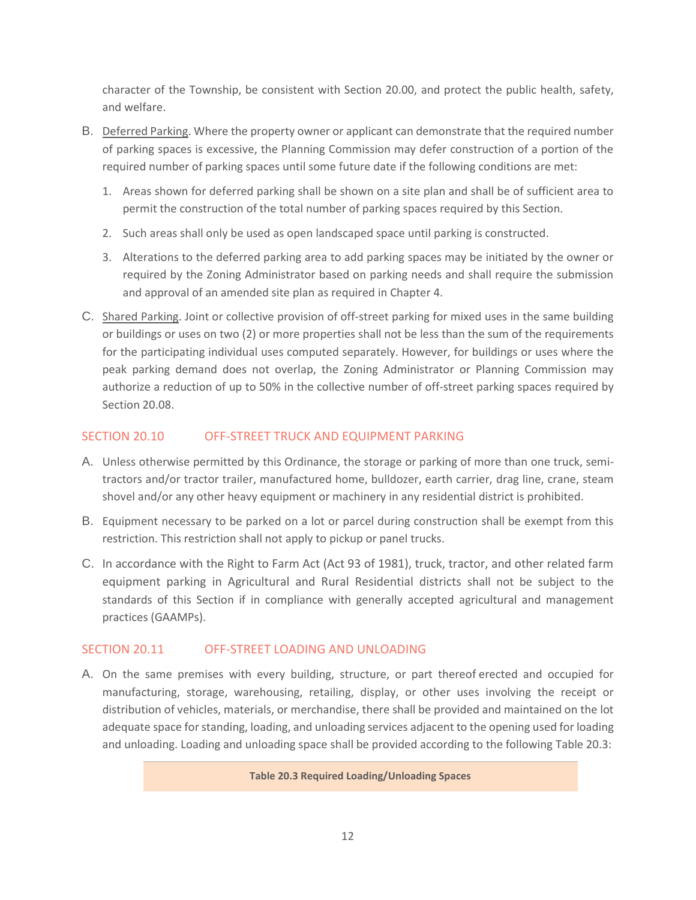character of the Township, be consistent with Section 20.00, and protect the public health, safety, and welfare.

- B. Deferred Parking. Where the property owner or applicant can demonstrate that the required number of parking spaces is excessive, the Planning Commission may defer construction of a portion of the required number of parking spaces until some future date if the following conditions are met:
	- 1. Areas shown for deferred parking shall be shown on a site plan and shall be of sufficient area to permit the construction of the total number of parking spaces required by this Section.
	- 2. Such areas shall only be used as open landscaped space until parking is constructed.
	- 3. Alterations to the deferred parking area to add parking spaces may be initiated by the owner or required by the Zoning Administrator based on parking needs and shall require the submission and approval of an amended site plan as required in Chapter 4.
- C. Shared Parking. Joint or collective provision of off-street parking for mixed uses in the same building or buildings or uses on two (2) or more properties shall not be less than the sum of the requirements for the participating individual uses computed separately. However, for buildings or uses where the peak parking demand does not overlap, the Zoning Administrator or Planning Commission may authorize a reduction of up to 50% in the collective number of off-street parking spaces required by Section 20.08.

## SECTION 20.10 OFF-STREET TRUCK AND EQUIPMENT PARKING

- A. Unless otherwise permitted by this Ordinance, the storage or parking of more than one truck, semitractors and/or tractor trailer, manufactured home, bulldozer, earth carrier, drag line, crane, steam shovel and/or any other heavy equipment or machinery in any residential district is prohibited.
- B. Equipment necessary to be parked on a lot or parcel during construction shall be exempt from this restriction. This restriction shall not apply to pickup or panel trucks.
- C. In accordance with the Right to Farm Act (Act 93 of 1981), truck, tractor, and other related farm equipment parking in Agricultural and Rural Residential districts shall not be subject to the standards of this Section if in compliance with generally accepted agricultural and management practices (GAAMPs).

## SECTION 20.11 OFF-STREET LOADING AND UNLOADING

A. On the same premises with every building, structure, or part thereof erected and occupied for manufacturing, storage, warehousing, retailing, display, or other uses involving the receipt or distribution of vehicles, materials, or merchandise, there shall be provided and maintained on the lot adequate space for standing, loading, and unloading services adjacent to the opening used for loading and unloading. Loading and unloading space shall be provided according to the following Table 20.3:

#### **Table 20.3 Required Loading/Unloading Spaces**